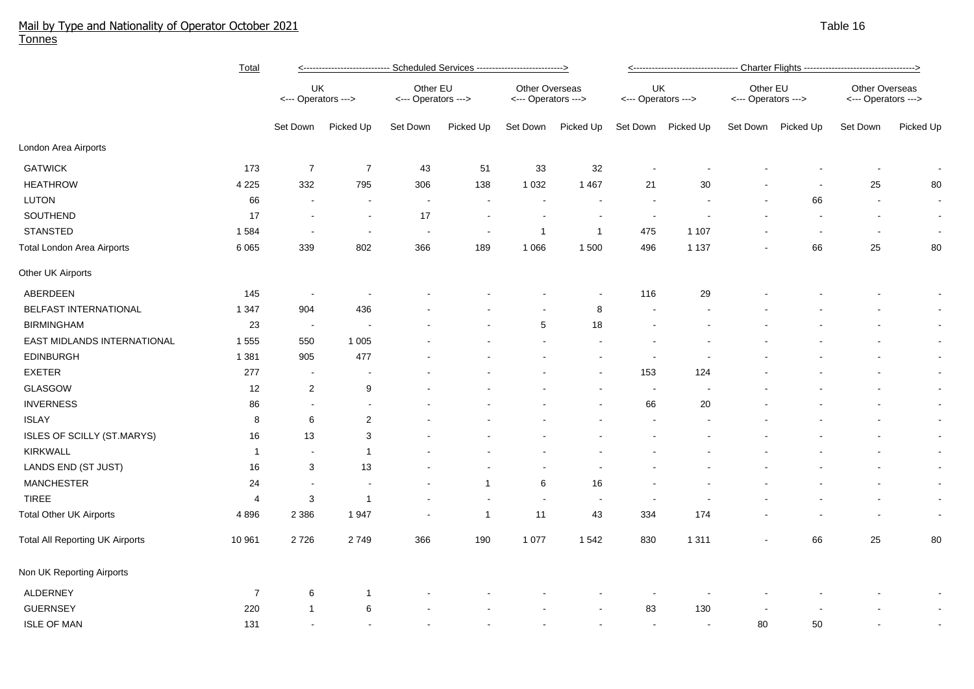## Mail by Type and Nationality of Operator October 2021 Table 16 Australian Australian School and Table 16 Australian School and Table 16 Australian School and Table 16 Australian School and Table 16 Australian School and Ta Tonnes

|                                        | <b>Total</b>   | <---------------------------- Scheduled Services --------------------------> |                |                                 |                |                                       |                          | <---------------------------------- Charter Flights ----------------------------------> |           |                                 |                    |                                       |                |  |
|----------------------------------------|----------------|------------------------------------------------------------------------------|----------------|---------------------------------|----------------|---------------------------------------|--------------------------|-----------------------------------------------------------------------------------------|-----------|---------------------------------|--------------------|---------------------------------------|----------------|--|
|                                        |                | UK<br><--- Operators --->                                                    |                | Other EU<br><--- Operators ---> |                | Other Overseas<br><--- Operators ---> |                          | UK<br><--- Operators --->                                                               |           | Other EU<br><--- Operators ---> |                    | Other Overseas<br><--- Operators ---> |                |  |
|                                        |                | Set Down                                                                     | Picked Up      | Set Down                        | Picked Up      | Set Down                              | Picked Up                | Set Down                                                                                | Picked Up |                                 | Set Down Picked Up | Set Down                              | Picked Up      |  |
| London Area Airports                   |                |                                                                              |                |                                 |                |                                       |                          |                                                                                         |           |                                 |                    |                                       |                |  |
| <b>GATWICK</b>                         | 173            | $\overline{7}$                                                               | $\overline{7}$ | 43                              | 51             | 33                                    | 32                       |                                                                                         |           |                                 |                    |                                       |                |  |
| <b>HEATHROW</b>                        | 4 2 2 5        | 332                                                                          | 795            | 306                             | 138            | 1 0 3 2                               | 1 4 6 7                  | 21                                                                                      | 30        |                                 |                    | 25                                    | 80             |  |
| LUTON                                  | 66             |                                                                              | $\blacksquare$ | $\blacksquare$                  |                | $\overline{\phantom{a}}$              |                          |                                                                                         |           |                                 | 66                 | $\overline{a}$                        | $\sim$         |  |
| SOUTHEND                               | 17             |                                                                              | $\blacksquare$ | 17                              |                | $\overline{\phantom{a}}$              |                          |                                                                                         |           |                                 |                    |                                       | $\sim$         |  |
| <b>STANSTED</b>                        | 1 5 8 4        |                                                                              | $\blacksquare$ |                                 | $\blacksquare$ | $\overline{1}$                        | $\overline{1}$           | 475                                                                                     | 1 1 0 7   |                                 |                    | $\overline{\phantom{a}}$              | $\sim$         |  |
| <b>Total London Area Airports</b>      | 6 0 6 5        | 339                                                                          | 802            | 366                             | 189            | 1 0 6 6                               | 1500                     | 496                                                                                     | 1 1 3 7   |                                 | 66                 | 25                                    | 80             |  |
| Other UK Airports                      |                |                                                                              |                |                                 |                |                                       |                          |                                                                                         |           |                                 |                    |                                       |                |  |
| ABERDEEN                               | 145            | $\overline{\phantom{a}}$                                                     |                |                                 |                |                                       |                          | 116                                                                                     | 29        |                                 |                    |                                       | $\sim$         |  |
| BELFAST INTERNATIONAL                  | 1 3 4 7        | 904                                                                          | 436            |                                 |                |                                       | 8                        |                                                                                         |           |                                 |                    |                                       | $\sim$         |  |
| <b>BIRMINGHAM</b>                      | 23             | $\sim$                                                                       |                |                                 |                | 5                                     | 18                       |                                                                                         |           |                                 |                    |                                       | $\sim$         |  |
| EAST MIDLANDS INTERNATIONAL            | 1 5 5 5        | 550                                                                          | 1 0 0 5        |                                 |                |                                       |                          |                                                                                         |           |                                 |                    |                                       | $\sim$         |  |
| <b>EDINBURGH</b>                       | 1 3 8 1        | 905                                                                          | 477            |                                 |                |                                       |                          | $\overline{a}$                                                                          |           |                                 |                    |                                       | $\sim$         |  |
| <b>EXETER</b>                          | 277            | $\blacksquare$                                                               | $\blacksquare$ |                                 |                |                                       |                          | 153                                                                                     | 124       |                                 |                    |                                       | $\sim$         |  |
| GLASGOW                                | 12             | $\mathbf{2}$                                                                 | 9              |                                 |                |                                       |                          | $\sim$                                                                                  |           |                                 |                    |                                       | $\sim$         |  |
| <b>INVERNESS</b>                       | 86             | $\sim$                                                                       |                |                                 |                |                                       |                          | 66                                                                                      | 20        |                                 |                    |                                       | $\sim$         |  |
| <b>ISLAY</b>                           | 8              | 6                                                                            | $\sqrt{2}$     |                                 |                |                                       |                          |                                                                                         |           |                                 |                    |                                       | $\blacksquare$ |  |
| ISLES OF SCILLY (ST.MARYS)             | 16             | 13                                                                           | 3              |                                 |                |                                       |                          |                                                                                         |           |                                 |                    |                                       | $\sim$         |  |
| KIRKWALL                               | $\mathbf{1}$   | $\overline{\phantom{a}}$                                                     | $\mathbf{1}$   |                                 |                |                                       |                          |                                                                                         |           |                                 |                    |                                       | $\sim$         |  |
| LANDS END (ST JUST)                    | 16             | 3                                                                            | 13             |                                 |                |                                       |                          |                                                                                         |           |                                 |                    |                                       | $\sim$         |  |
| <b>MANCHESTER</b>                      | 24             | $\sim$                                                                       |                |                                 | 1              | 6                                     | 16                       |                                                                                         |           |                                 |                    |                                       | $\sim$         |  |
| <b>TIREE</b>                           | 4              | 3                                                                            | $\mathbf{1}$   |                                 |                | $\sim$                                | $\overline{\phantom{a}}$ |                                                                                         |           |                                 |                    |                                       | $\sim$         |  |
| <b>Total Other UK Airports</b>         | 4896           | 2 3 8 6                                                                      | 1947           |                                 | $\mathbf{1}$   | 11                                    | 43                       | 334                                                                                     | 174       |                                 |                    |                                       | $\sim$         |  |
| <b>Total All Reporting UK Airports</b> | 10 961         | 2726                                                                         | 2749           | 366                             | 190            | 1 0 7 7                               | 1 5 4 2                  | 830                                                                                     | 1 3 1 1   |                                 | 66                 | 25                                    | 80             |  |
| Non UK Reporting Airports              |                |                                                                              |                |                                 |                |                                       |                          |                                                                                         |           |                                 |                    |                                       |                |  |
| <b>ALDERNEY</b>                        | $\overline{7}$ | 6                                                                            | $\mathbf{1}$   |                                 |                |                                       |                          |                                                                                         |           |                                 |                    |                                       |                |  |
| <b>GUERNSEY</b>                        | 220            | $\mathbf 1$                                                                  | 6              |                                 |                |                                       |                          | 83                                                                                      | 130       |                                 |                    |                                       |                |  |
| <b>ISLE OF MAN</b>                     | 131            |                                                                              |                |                                 |                |                                       |                          |                                                                                         |           | 80                              | 50                 |                                       |                |  |